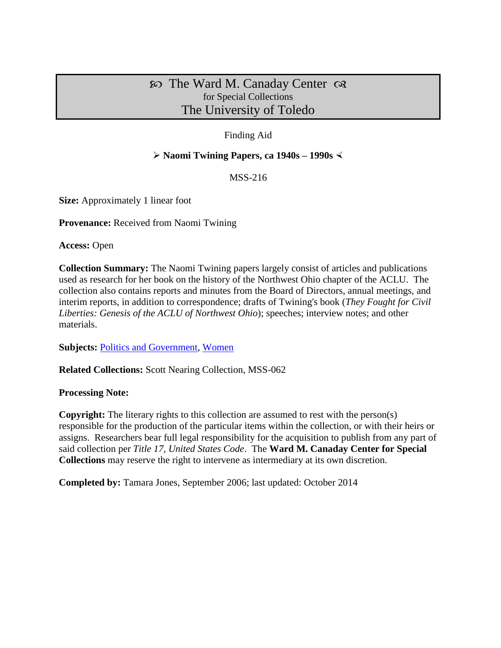# $\infty$  The Ward M. Canaday Center  $\infty$ for Special Collections The University of Toledo

### Finding Aid

#### **Naomi Twining Papers, ca 1940s – 1990s**

MSS-216

**Size:** Approximately 1 linear foot

**Provenance:** Received from Naomi Twining

**Access:** Open

**Collection Summary:** The Naomi Twining papers largely consist of articles and publications used as research for her book on the history of the Northwest Ohio chapter of the ACLU. The collection also contains reports and minutes from the Board of Directors, annual meetings, and interim reports, in addition to correspondence; drafts of Twining's book (*They Fought for Civil Liberties: Genesis of the ACLU of Northwest Ohio*); speeches; interview notes; and other materials.

**Subjects: [Politics and Government,](http://www.utoledo.edu/library/canaday/guidepages/politics.html) [Women](http://www.utoledo.edu/library/canaday/guidepages/women.html)** 

**Related Collections:** Scott Nearing Collection, MSS-062

#### **Processing Note:**

**Copyright:** The literary rights to this collection are assumed to rest with the person(s) responsible for the production of the particular items within the collection, or with their heirs or assigns. Researchers bear full legal responsibility for the acquisition to publish from any part of said collection per *Title 17, United States Code*. The **Ward M. Canaday Center for Special Collections** may reserve the right to intervene as intermediary at its own discretion.

**Completed by:** Tamara Jones, September 2006; last updated: October 2014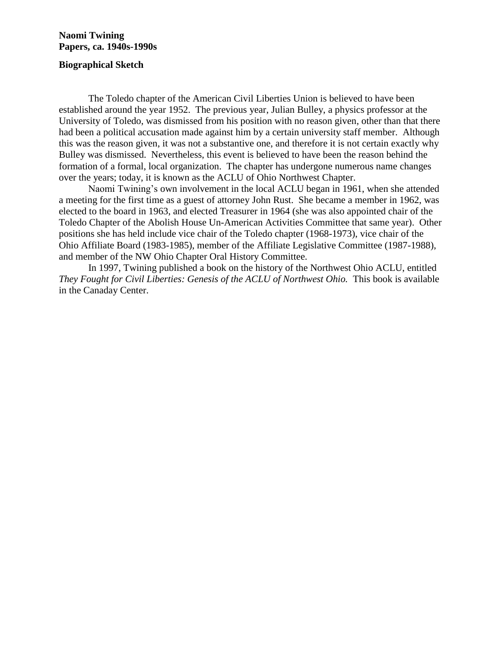#### **Naomi Twining Papers, ca. 1940s-1990s**

#### **Biographical Sketch**

The Toledo chapter of the American Civil Liberties Union is believed to have been established around the year 1952. The previous year, Julian Bulley, a physics professor at the University of Toledo, was dismissed from his position with no reason given, other than that there had been a political accusation made against him by a certain university staff member. Although this was the reason given, it was not a substantive one, and therefore it is not certain exactly why Bulley was dismissed. Nevertheless, this event is believed to have been the reason behind the formation of a formal, local organization. The chapter has undergone numerous name changes over the years; today, it is known as the ACLU of Ohio Northwest Chapter.

Naomi Twining's own involvement in the local ACLU began in 1961, when she attended a meeting for the first time as a guest of attorney John Rust. She became a member in 1962, was elected to the board in 1963, and elected Treasurer in 1964 (she was also appointed chair of the Toledo Chapter of the Abolish House Un-American Activities Committee that same year). Other positions she has held include vice chair of the Toledo chapter (1968-1973), vice chair of the Ohio Affiliate Board (1983-1985), member of the Affiliate Legislative Committee (1987-1988), and member of the NW Ohio Chapter Oral History Committee.

In 1997, Twining published a book on the history of the Northwest Ohio ACLU, entitled They Fought for Civil Liberties: Genesis of the ACLU of Northwest Ohio. This book is available in the Canaday Center.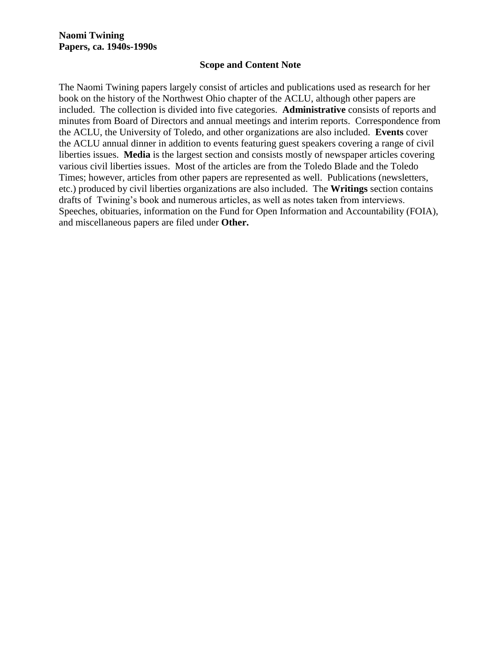#### **Scope and Content Note**

The Naomi Twining papers largely consist of articles and publications used as research for her book on the history of the Northwest Ohio chapter of the ACLU, although other papers are included. The collection is divided into five categories. **Administrative** consists of reports and minutes from Board of Directors and annual meetings and interim reports. Correspondence from the ACLU, the University of Toledo, and other organizations are also included. **Events** cover the ACLU annual dinner in addition to events featuring guest speakers covering a range of civil liberties issues. **Media** is the largest section and consists mostly of newspaper articles covering various civil liberties issues. Most of the articles are from the Toledo Blade and the Toledo Times; however, articles from other papers are represented as well. Publications (newsletters, etc.) produced by civil liberties organizations are also included. The **Writings** section contains drafts of Twining's book and numerous articles, as well as notes taken from interviews. Speeches, obituaries, information on the Fund for Open Information and Accountability (FOIA), and miscellaneous papers are filed under **Other.**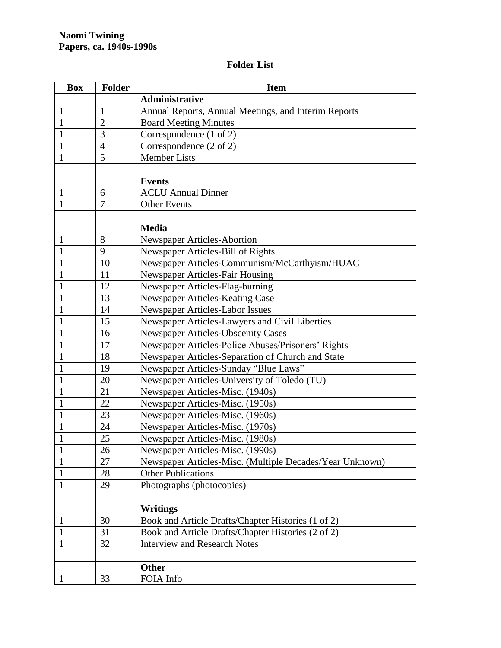## **Folder List**

| <b>Box</b>   | <b>Folder</b>  | <b>Item</b>                                              |
|--------------|----------------|----------------------------------------------------------|
|              |                | Administrative                                           |
| $\mathbf{1}$ | $\mathbf{1}$   | Annual Reports, Annual Meetings, and Interim Reports     |
| -1           | $\overline{2}$ | <b>Board Meeting Minutes</b>                             |
| 1            | 3              | Correspondence (1 of 2)                                  |
| 1            | 4              | Correspondence (2 of 2)                                  |
| 1            | 5              | <b>Member Lists</b>                                      |
|              |                |                                                          |
|              |                | <b>Events</b>                                            |
| $\mathbf 1$  | 6              | <b>ACLU Annual Dinner</b>                                |
| $\mathbf{1}$ | 7              | <b>Other Events</b>                                      |
|              |                |                                                          |
|              |                | <b>Media</b>                                             |
| $\mathbf{1}$ | 8              | Newspaper Articles-Abortion                              |
| $\mathbf{1}$ | 9              | Newspaper Articles-Bill of Rights                        |
| $\mathbf{1}$ | 10             | Newspaper Articles-Communism/McCarthyism/HUAC            |
| $\mathbf{1}$ | 11             | Newspaper Articles-Fair Housing                          |
| $\mathbf{1}$ | 12             | Newspaper Articles-Flag-burning                          |
| $\mathbf{1}$ | 13             | Newspaper Articles-Keating Case                          |
| $\mathbf{1}$ | 14             | Newspaper Articles-Labor Issues                          |
| $\mathbf{1}$ | 15             | Newspaper Articles-Lawyers and Civil Liberties           |
| 1            | 16             | <b>Newspaper Articles-Obscenity Cases</b>                |
| 1            | 17             | Newspaper Articles-Police Abuses/Prisoners' Rights       |
| $\mathbf 1$  | 18             | Newspaper Articles-Separation of Church and State        |
| $\mathbf{1}$ | 19             | Newspaper Articles-Sunday "Blue Laws"                    |
| $\mathbf{1}$ | 20             | Newspaper Articles-University of Toledo (TU)             |
| $\mathbf{1}$ | 21             | Newspaper Articles-Misc. (1940s)                         |
| $\mathbf{1}$ | 22             | Newspaper Articles-Misc. (1950s)                         |
| $\mathbf{1}$ | 23             | Newspaper Articles-Misc. (1960s)                         |
| 1            | 24             | Newspaper Articles-Misc. (1970s)                         |
| $\mathbf{1}$ | 25             | Newspaper Articles-Misc. (1980s)                         |
| $\mathbf{1}$ | 26             | Newspaper Articles-Misc. (1990s)                         |
| $\mathbf 1$  | 27             | Newspaper Articles-Misc. (Multiple Decades/Year Unknown) |
| $\mathbf{1}$ | 28             | <b>Other Publications</b>                                |
| 1            | 29             | Photographs (photocopies)                                |
|              |                |                                                          |
|              |                | <b>Writings</b>                                          |
| $\mathbf{1}$ | 30             | Book and Article Drafts/Chapter Histories (1 of 2)       |
| $\mathbf{1}$ | 31             | Book and Article Drafts/Chapter Histories (2 of 2)       |
| $\mathbf{1}$ | 32             | <b>Interview and Research Notes</b>                      |
|              |                |                                                          |
|              |                | <b>Other</b>                                             |
| -1           | 33             | FOIA Info                                                |